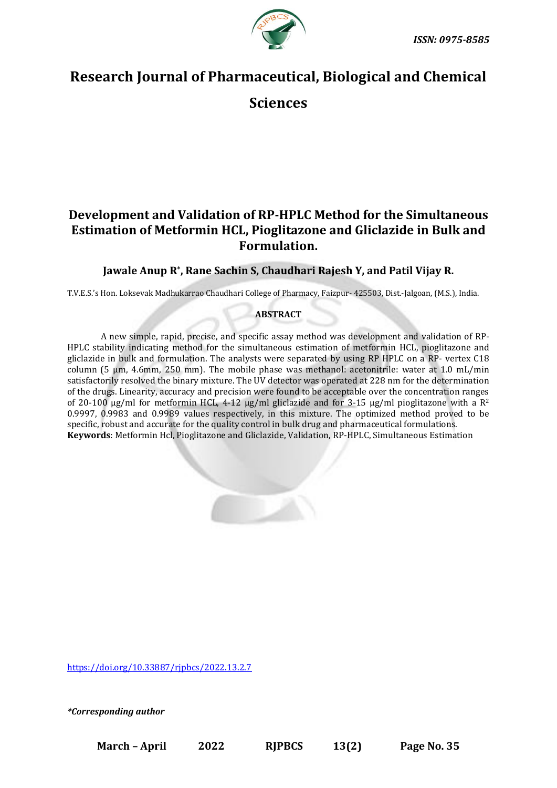



# **Research Journal of Pharmaceutical, Biological and Chemical**

**Sciences**

# **Development and Validation of RP-HPLC Method for the Simultaneous Estimation of Metformin HCL, Pioglitazone and Gliclazide in Bulk and Formulation.**

## **Jawale Anup R\* , Rane Sachin S, Chaudhari Rajesh Y, and Patil Vijay R.**

T.V.E.S.'s Hon. Loksevak Madhukarrao Chaudhari College of Pharmacy, Faizpur- 425503, Dist.-Jalgoan, (M.S.), India.

### **ABSTRACT**

A new simple, rapid, precise, and specific assay method was development and validation of RP-HPLC stability indicating method for the simultaneous estimation of metformin HCL, pioglitazone and gliclazide in bulk and formulation. The analysts were separated by using RP HPLC on a RP- vertex C18 column (5 µm, 4.6mm, 250 mm). The mobile phase was methanol: acetonitrile: water at 1.0 mL/min satisfactorily resolved the binary mixture. The UV detector was operated at 228 nm for the determination of the drugs. Linearity, accuracy and precision were found to be acceptable over the concentration ranges of 20-100  $\mu$ g/ml for metformin HCL, 4-12  $\mu$ g/ml gliclazide and for 3-15  $\mu$ g/ml pioglitazone with a R<sup>2</sup> 0.9997, 0.9983 and 0.9989 values respectively, in this mixture. The optimized method proved to be specific, robust and accurate for the quality control in bulk drug and pharmaceutical formulations. **Keywords**: Metformin Hcl, Pioglitazone and Gliclazide, Validation, RP-HPLC, Simultaneous Estimation



*\*Corresponding author*

**March – April 2022 RJPBCS 13(2) Page No. 35**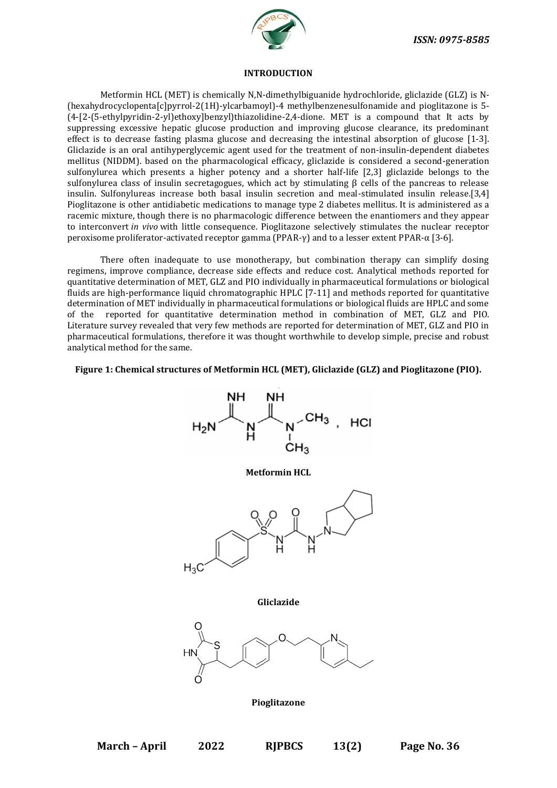

#### **INTRODUCTION**

Metformin HCL (MET) is chemically N,N-dimethylbiguanide hydrochloride, gliclazide (GLZ) is N- (hexahydrocyclopenta[c]pyrrol-2(1H)-ylcarbamoyl)-4 methylbenzenesulfonamide and pioglitazone is 5- (4-[2-(5-ethylpyridin-2-yl)ethoxy]benzyl)thiazolidine-2,4-dione. MET is a compound that It acts by suppressing excessive hepatic glucose production and improving glucose clearance, its predominant effect is to decrease fasting plasma glucose and decreasing the intestinal absorption of glucose [1-3]. Gliclazide is an oral antihyperglycemic agent used for the treatment of non-insulin-dependent diabetes mellitus (NIDDM). based on the pharmacological efficacy, gliclazide is considered a second-generation sulfonylurea which presents a higher potency and a shorter half-life [2,3] gliclazide belongs to the sulfonylurea class of insulin secretagogues, which act by stimulating β cells of the pancreas to release insulin. Sulfonylureas increase both basal insulin secretion and meal-stimulated insulin release.[3,4] Pioglitazone is other antidiabetic medications to manage type 2 diabetes mellitus. It is administered as a racemic mixture, though there is no pharmacologic difference between the enantiomers and they appear to interconvert *in vivo* with little consequence. Pioglitazone selectively stimulates the nuclear receptor peroxisome proliferator-activated receptor gamma (PPAR-γ) and to a lesser extent PPAR-α [3-6].

There often inadequate to use monotherapy, but combination therapy can simplify dosing regimens, improve compliance, decrease side effects and reduce cost. Analytical methods reported for quantitative determination of MET, GLZ and PIO individually in pharmaceutical formulations or biological fluids are high-performance liquid chromatographic HPLC [7-11] and methods reported for quantitative determination of MET individually in pharmaceutical formulations or biological fluids are HPLC and some of the reported for quantitative determination method in combination of MET, GLZ and PIO. Literature survey revealed that very few methods are reported for determination of MET, GLZ and PIO in pharmaceutical formulations, therefore it was thought worthwhile to develop simple, precise and robust analytical method for the same.

#### **Figure 1: Chemical structures of Metformin HCL (MET), Gliclazide (GLZ) and Pioglitazone (PIO).**

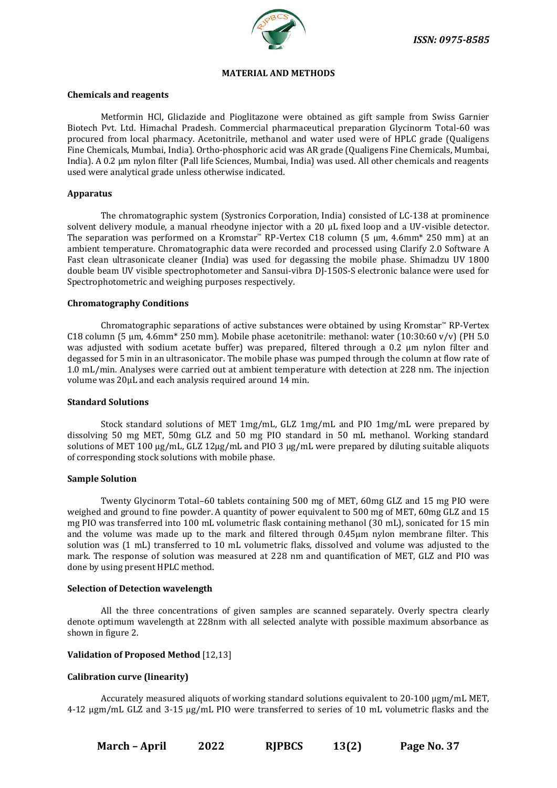

#### **MATERIAL AND METHODS**

#### **Chemicals and reagents**

Metformin HCl, Gliclazide and Pioglitazone were obtained as gift sample from Swiss Garnier Biotech Pvt. Ltd. Himachal Pradesh. Commercial pharmaceutical preparation Glycinorm Total-60 was procured from local pharmacy. Acetonitrile, methanol and water used were of HPLC grade (Qualigens Fine Chemicals, Mumbai, India). Ortho-phosphoric acid was AR grade (Qualigens Fine Chemicals, Mumbai, India). A 0.2 µm nylon filter (Pall life Sciences, Mumbai, India) was used. All other chemicals and reagents used were analytical grade unless otherwise indicated.

#### **Apparatus**

The chromatographic system (Systronics Corporation, India) consisted of LC-138 at prominence solvent delivery module, a manual rheodyne injector with a 20  $\mu$ L fixed loop and a UV-visible detector. The separation was performed on a Kromstar™ RP-Vertex C18 column (5 µm, 4.6mm\* 250 mm) at an ambient temperature. Chromatographic data were recorded and processed using Clarify 2.0 Software A Fast clean ultrasonicate cleaner (India) was used for degassing the mobile phase. Shimadzu UV 1800 double beam UV visible spectrophotometer and Sansui-vibra DJ-150S-S electronic balance were used for Spectrophotometric and weighing purposes respectively.

#### **Chromatography Conditions**

Chromatographic separations of active substances were obtained by using Kromstar™ RP-Vertex C18 column (5  $\mu$ m, 4.6mm<sup>\*</sup> 250 mm). Mobile phase acetonitrile: methanol: water (10:30:60 v/v) (PH 5.0 was adjusted with sodium acetate buffer) was prepared, filtered through a 0.2 μm nylon filter and degassed for 5 min in an ultrasonicator. The mobile phase was pumped through the column at flow rate of 1.0 mL/min. Analyses were carried out at ambient temperature with detection at 228 nm. The injection volume was 20μL and each analysis required around 14 min.

#### **Standard Solutions**

Stock standard solutions of MET 1mg/mL, GLZ 1mg/mL and PIO 1mg/mL were prepared by dissolving 50 mg MET, 50mg GLZ and 50 mg PIO standard in 50 mL methanol. Working standard solutions of MET 100 μg/mL, GLZ 12μg/mL and PIO 3 μg/mL were prepared by diluting suitable aliquots of corresponding stock solutions with mobile phase.

#### **Sample Solution**

Twenty Glycinorm Total–60 tablets containing 500 mg of MET, 60mg GLZ and 15 mg PIO were weighed and ground to fine powder. A quantity of power equivalent to 500 mg of MET, 60mg GLZ and 15 mg PIO was transferred into 100 mL volumetric flask containing methanol (30 mL), sonicated for 15 min and the volume was made up to the mark and filtered through 0.45µm nylon membrane filter. This solution was (1 mL) transferred to 10 mL volumetric flaks, dissolved and volume was adjusted to the mark. The response of solution was measured at 228 nm and quantification of MET, GLZ and PIO was done by using present HPLC method.

#### **Selection of Detection wavelength**

All the three concentrations of given samples are scanned separately. Overly spectra clearly denote optimum wavelength at 228nm with all selected analyte with possible maximum absorbance as shown in figure 2.

#### **Validation of Proposed Method** [12,13]

#### **Calibration curve (linearity)**

Accurately measured aliquots of working standard solutions equivalent to 20-100  $\mu$ gm/mL MET, 4-12 µgm/mL GLZ and 3-15 µg/mL PIO were transferred to series of 10 mL volumetric flasks and the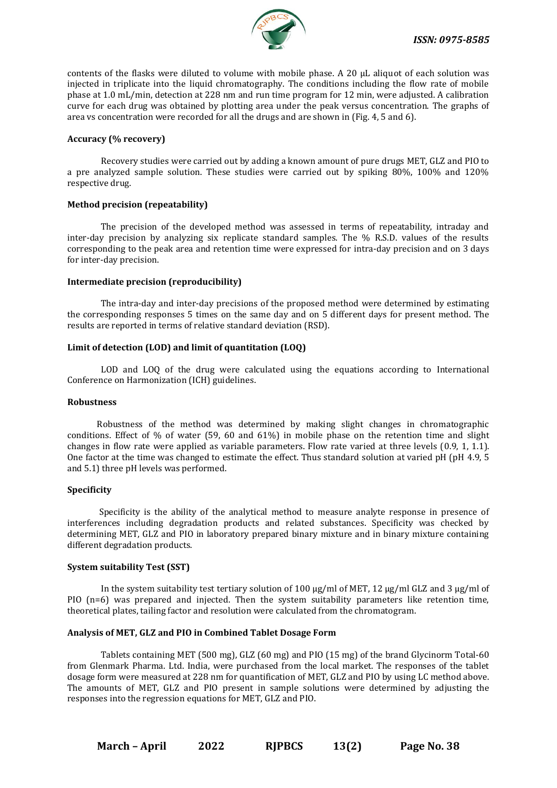

contents of the flasks were diluted to volume with mobile phase. A 20  $\mu$ L aliquot of each solution was injected in triplicate into the liquid chromatography. The conditions including the flow rate of mobile phase at 1.0 mL/min, detection at 228 nm and run time program for 12 min, were adjusted. A calibration curve for each drug was obtained by plotting area under the peak versus concentration. The graphs of area vs concentration were recorded for all the drugs and are shown in (Fig. 4, 5 and 6).

#### **Accuracy (% recovery)**

Recovery studies were carried out by adding a known amount of pure drugs MET, GLZ and PIO to a pre analyzed sample solution. These studies were carried out by spiking 80%, 100% and 120% respective drug.

#### **Method precision (repeatability)**

The precision of the developed method was assessed in terms of repeatability, intraday and inter-day precision by analyzing six replicate standard samples. The % R.S.D. values of the results corresponding to the peak area and retention time were expressed for intra-day precision and on 3 days for inter-day precision.

#### **Intermediate precision (reproducibility)**

The intra-day and inter-day precisions of the proposed method were determined by estimating the corresponding responses 5 times on the same day and on 5 different days for present method. The results are reported in terms of relative standard deviation (RSD).

#### **Limit of detection (LOD) and limit of quantitation (LOQ)**

LOD and LOQ of the drug were calculated using the equations according to International Conference on Harmonization (ICH) guidelines.

#### **Robustness**

Robustness of the method was determined by making slight changes in chromatographic conditions. Effect of % of water (59, 60 and 61%) in mobile phase on the retention time and slight changes in flow rate were applied as variable parameters. Flow rate varied at three levels (0.9, 1, 1.1). One factor at the time was changed to estimate the effect. Thus standard solution at varied pH (pH 4.9, 5 and 5.1) three pH levels was performed.

#### **Specificity**

Specificity is the ability of the analytical method to measure analyte response in presence of interferences including degradation products and related substances. Specificity was checked by determining MET, GLZ and PIO in laboratory prepared binary mixture and in binary mixture containing different degradation products.

#### **System suitability Test (SST)**

In the system suitability test tertiary solution of 100  $\mu$ g/ml of MET, 12  $\mu$ g/ml GLZ and 3  $\mu$ g/ml of PIO (n=6) was prepared and injected. Then the system suitability parameters like retention time, theoretical plates, tailing factor and resolution were calculated from the chromatogram.

#### **Analysis of MET, GLZ and PIO in Combined Tablet Dosage Form**

Tablets containing MET (500 mg), GLZ (60 mg) and PIO (15 mg) of the brand Glycinorm Total-60 from Glenmark Pharma. Ltd. India, were purchased from the local market. The responses of the tablet dosage form were measured at 228 nm for quantification of MET, GLZ and PIO by using LC method above. The amounts of MET, GLZ and PIO present in sample solutions were determined by adjusting the responses into the regression equations for MET, GLZ and PIO.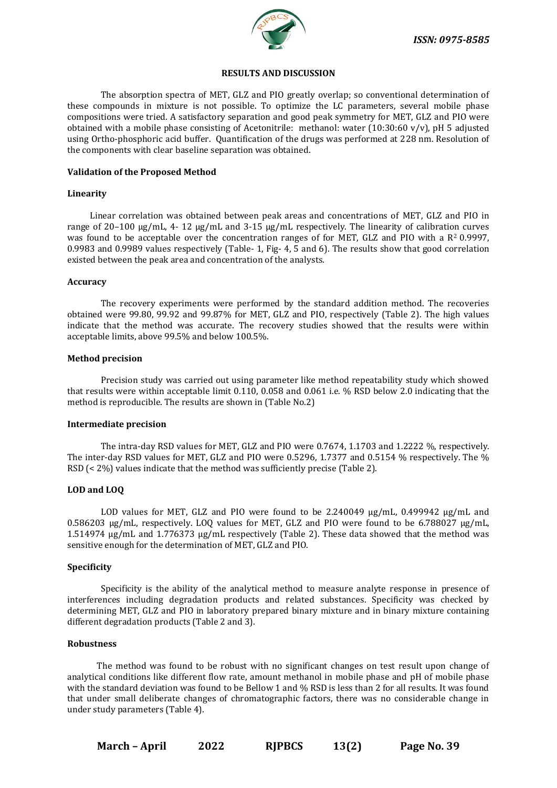

#### **RESULTS AND DISCUSSION**

The absorption spectra of MET, GLZ and PIO greatly overlap; so conventional determination of these compounds in mixture is not possible. To optimize the LC parameters, several mobile phase compositions were tried. A satisfactory separation and good peak symmetry for MET, GLZ and PIO were obtained with a mobile phase consisting of Acetonitrile: methanol: water (10:30:60 v/v), pH 5 adjusted using Ortho-phosphoric acid buffer. Quantification of the drugs was performed at 228 nm. Resolution of the components with clear baseline separation was obtained.

#### **Validation of the Proposed Method**

#### **Linearity**

Linear correlation was obtained between peak areas and concentrations of MET, GLZ and PIO in range of 20–100 µg/mL, 4- 12 µg/mL and 3-15 µg/mL respectively. The linearity of calibration curves was found to be acceptable over the concentration ranges of for MET, GLZ and PIO with a R<sup>2</sup> 0.9997, 0.9983 and 0.9989 values respectively (Table- 1, Fig- 4, 5 and 6). The results show that good correlation existed between the peak area and concentration of the analysts.

#### **Accuracy**

The recovery experiments were performed by the standard addition method. The recoveries obtained were 99.80, 99.92 and 99.87% for MET, GLZ and PIO, respectively (Table 2). The high values indicate that the method was accurate. The recovery studies showed that the results were within acceptable limits, above 99.5% and below 100.5%.

#### **Method precision**

Precision study was carried out using parameter like method repeatability study which showed that results were within acceptable limit 0.110, 0.058 and 0.061 i.e. % RSD below 2.0 indicating that the method is reproducible. The results are shown in (Table No.2)

#### **Intermediate precision**

The intra-day RSD values for MET, GLZ and PIO were 0.7674, 1.1703 and 1.2222 %, respectively. The inter-day RSD values for MET, GLZ and PIO were 0.5296, 1.7377 and 0.5154 % respectively. The % RSD (< 2%) values indicate that the method was sufficiently precise (Table 2).

#### **LOD and LOQ**

LOD values for MET, GLZ and PIO were found to be 2.240049 ug/mL, 0.499942 ug/mL and 0.586203  $\mu$ g/mL, respectively. LOQ values for MET, GLZ and PIO were found to be 6.788027  $\mu$ g/mL, 1.514974 µg/mL and 1.776373 µg/mL respectively (Table 2). These data showed that the method was sensitive enough for the determination of MET, GLZ and PIO.

#### **Specificity**

Specificity is the ability of the analytical method to measure analyte response in presence of interferences including degradation products and related substances. Specificity was checked by determining MET, GLZ and PIO in laboratory prepared binary mixture and in binary mixture containing different degradation products (Table 2 and 3).

#### **Robustness**

The method was found to be robust with no significant changes on test result upon change of analytical conditions like different flow rate, amount methanol in mobile phase and pH of mobile phase with the standard deviation was found to be Bellow 1 and % RSD is less than 2 for all results. It was found that under small deliberate changes of chromatographic factors, there was no considerable change in under study parameters (Table 4).

**March – April 2022 RJPBCS 13(2) Page No. 39**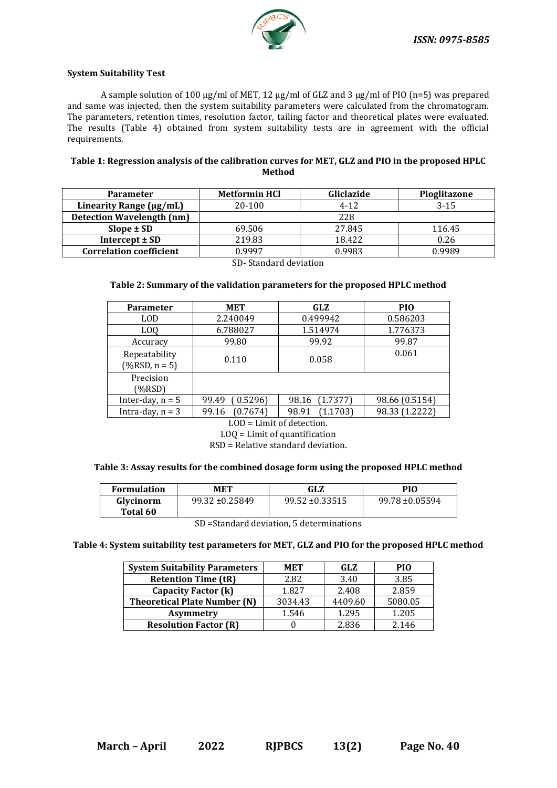

#### **System Suitability Test**

A sample solution of 100 µg/ml of MET, 12 µg/ml of GLZ and 3 µg/ml of PIO (n=5) was prepared and same was injected, then the system suitability parameters were calculated from the chromatogram. The parameters, retention times, resolution factor, tailing factor and theoretical plates were evaluated. The results (Table 4) obtained from system suitability tests are in agreement with the official requirements.

#### **Table 1: Regression analysis of the calibration curves for MET, GLZ and PIO in the proposed HPLC Method**

| <b>Parameter</b>                 | Gliclazide<br><b>Metformin HCl</b> |          | Pioglitazone |  |
|----------------------------------|------------------------------------|----------|--------------|--|
| Linearity Range (µg/mL)          | 20-100                             | $4 - 12$ | $3 - 15$     |  |
| <b>Detection Wavelength (nm)</b> | 228                                |          |              |  |
| $Slope \pm SD$                   | 69.506                             | 27.845   | 116.45       |  |
| Intercept $\pm$ SD               | 219.83                             | 18.422   | 0.26         |  |
| <b>Correlation coefficient</b>   | 0.9997                             | 0.9983   | 0.9989       |  |

SD- Standard deviation

#### **Table 2: Summary of the validation parameters for the proposed HPLC method**

| <b>Parameter</b>                   | <b>MET</b>        | <b>GLZ</b>        | PIO <sub></sub> |
|------------------------------------|-------------------|-------------------|-----------------|
| LOD                                | 2.240049          | 0.499942          | 0.586203        |
| L <sub>0</sub>                     | 6.788027          | 1.514974          | 1.776373        |
| Accuracy                           | 99.80             | 99.92             | 99.87           |
| Repeatability<br>$(\% RSD, n = 5)$ | 0.110             | 0.058             | 0.061           |
| Precision<br>$(\%RSD)$             |                   |                   |                 |
| Inter-day, $n = 5$                 | 0.5296<br>99.49   | (1.7377)<br>98.16 | 98.66 (0.5154)  |
| Intra-day, $n = 3$                 | (0.7674)<br>99.16 | (1.1703)<br>98.91 | 98.33 (1.2222)  |

LOD = Limit of detection. LOQ = Limit of quantification

RSD = Relative standard deviation.

#### **Table 3: Assay results for the combined dosage form using the proposed HPLC method**

| <b>Formulation</b> | MET                 | GLZ                 | PIO                 |
|--------------------|---------------------|---------------------|---------------------|
| Glycinorm          | $99.32 \pm 0.25849$ | $99.52 \pm 0.33515$ | $99.78 \pm 0.05594$ |
| Total 60           |                     |                     |                     |

SD =Standard deviation, 5 determinations

**Table 4: System suitability test parameters for MET, GLZ and PIO for the proposed HPLC method**

| <b>System Suitability Parameters</b> | <b>MET</b> | GLZ     | PIO     |
|--------------------------------------|------------|---------|---------|
| <b>Retention Time (tR)</b>           | 2.82       | 3.40    | 3.85    |
| Capacity Factor (k)                  | 1.827      | 2.408   | 2.859   |
| <b>Theoretical Plate Number (N)</b>  | 3034.43    | 4409.60 | 5080.05 |
| <b>Asymmetry</b>                     | 1.546      | 1.295   | 1.205   |
| <b>Resolution Factor (R)</b>         |            | 2.836   | 2.146   |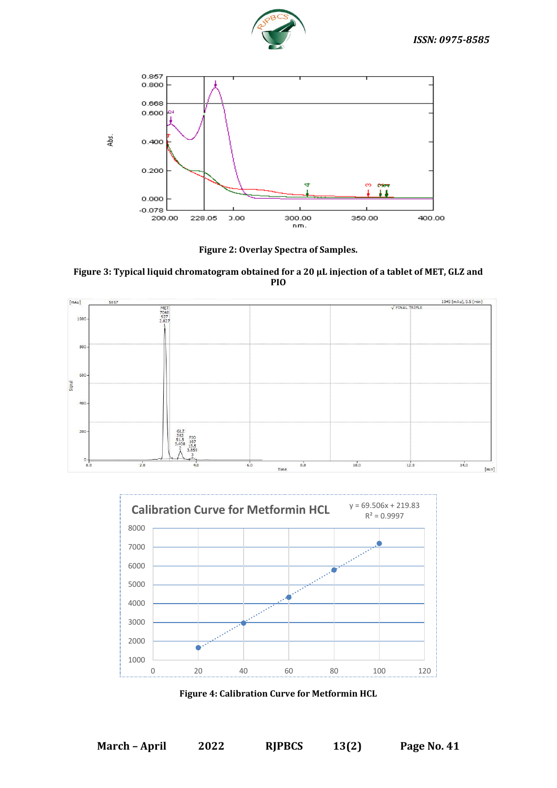



**Figure 2: Overlay Spectra of Samples.**

**Figure 3: Typical liquid chromatogram obtained for a 20 µL injection of a tablet of MET, GLZ and PIO**





**Figure 4: Calibration Curve for Metformin HCL**

**March – April 2022 RJPBCS 13(2) Page No. 41**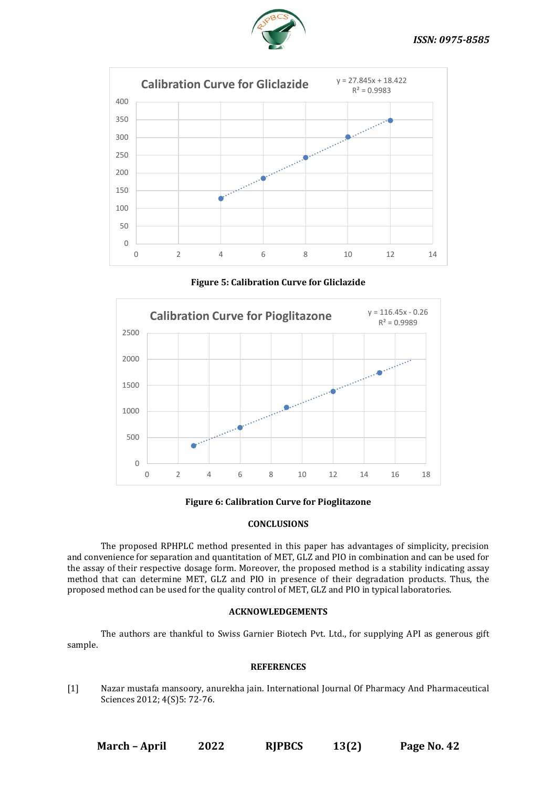



**Figure 5: Calibration Curve for Gliclazide**



**Figure 6: Calibration Curve for Pioglitazone**

#### **CONCLUSIONS**

The proposed RPHPLC method presented in this paper has advantages of simplicity, precision and convenience for separation and quantitation of MET, GLZ and PIO in combination and can be used for the assay of their respective dosage form. Moreover, the proposed method is a stability indicating assay method that can determine MET, GLZ and PIO in presence of their degradation products. Thus, the proposed method can be used for the quality control of MET, GLZ and PIO in typical laboratories.

#### **ACKNOWLEDGEMENTS**

The authors are thankful to Swiss Garnier Biotech Pvt. Ltd., for supplying API as generous gift sample.

#### **REFERENCES**

[1] Nazar mustafa mansoory, anurekha jain. International Journal Of Pharmacy And Pharmaceutical Sciences 2012; 4(S)5: 72-76.